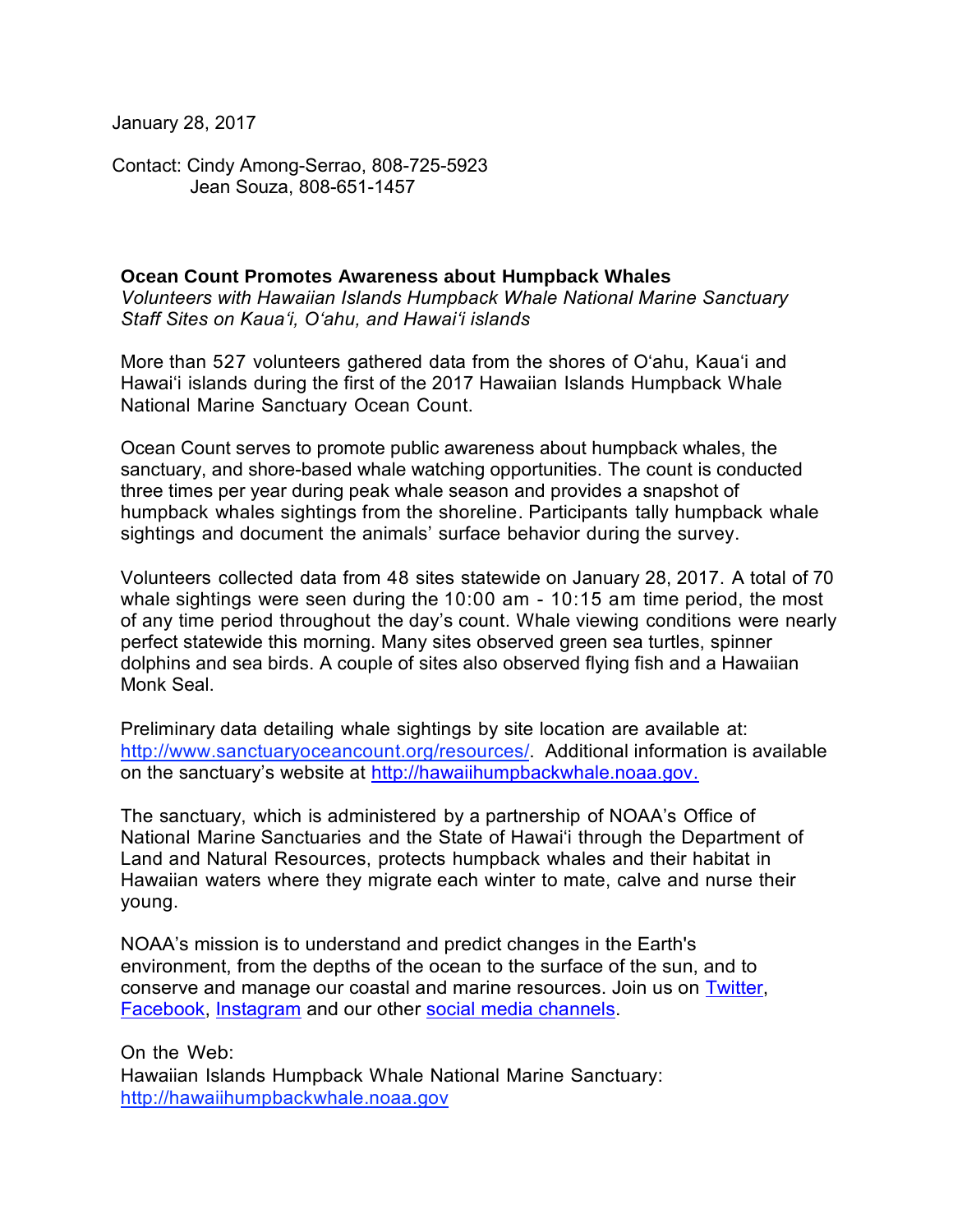January 28, 2017

Contact: Cindy Among-Serrao, 808-725-5923 Jean Souza, 808-651-1457

## **Ocean Count Promotes Awareness about Humpback Whales**

*Volunteers with Hawaiian Islands Humpback Whale National Marine Sanctuary Staff Sites on Kaua'i, O'ahu, and Hawai'i islands* 

More than 527 volunteers gathered data from the shores of O'ahu, Kaua'i and Hawai'i islands during the first of the 2017 Hawaiian Islands Humpback Whale National Marine Sanctuary Ocean Count.

Ocean Count serves to promote public awareness about humpback whales, the sanctuary, and shore-based whale watching opportunities. The count is conducted three times per year during peak whale season and provides a snapshot of humpback whales sightings from the shoreline. Participants tally humpback whale sightings and document the animals' surface behavior during the survey.

Volunteers collected data from 48 sites statewide on January 28, 2017. A total of 70 whale sightings were seen during the 10:00 am - 10:15 am time period, the most of any time period throughout the day's count. Whale viewing conditions were nearly perfect statewide this morning. Many sites observed green sea turtles, spinner dolphins and sea birds. A couple of sites also observed flying fish and a Hawaiian Monk Seal.

Preliminary data detailing whale sightings by site location are available at: [http://www.sanctuaryoceancount.org/resources/.](http://www.sanctuaryoceancount.org/resources/) Additional information is available on the sanctuary's website at [http://hawaiihumpbackwhale.noaa.gov.](http://hawaiihumpbackwhale.noaa.gov/)

The sanctuary, which is administered by a partnership of NOAA's Office of National Marine Sanctuaries and the State of Hawai'i through the Department of Land and Natural Resources, protects humpback whales and their habitat in Hawaiian waters where they migrate each winter to mate, calve and nurse their young.

NOAA's mission is to understand and predict changes in the Earth's environment, from the depths of the ocean to the surface of the sun, and to conserve and manage our coastal and marine resources. Join us on [Twitter,](http://www.noaanews.noaa.gov/exit.html?https%3A%2F%2Ftwitter.com%2FNOAA) [Facebook,](http://www.noaanews.noaa.gov/exit.html?https%3A%2F%2Fwww.facebook.com%2FNOAA) [Instagram](http://www.noaanews.noaa.gov/exit.html?http%3A%2F%2Finstagram.com%2Fnoaa%3Fref%3Dbadge) and our other [social media channels.](http://www.noaa.gov/socialmedia/)

On the Web: Hawaiian Islands Humpback Whale National Marine Sanctuary: [http://hawaiihumpbackwhale.noaa.gov](http://hawaiihumpbackwhale.noaa.gov/)